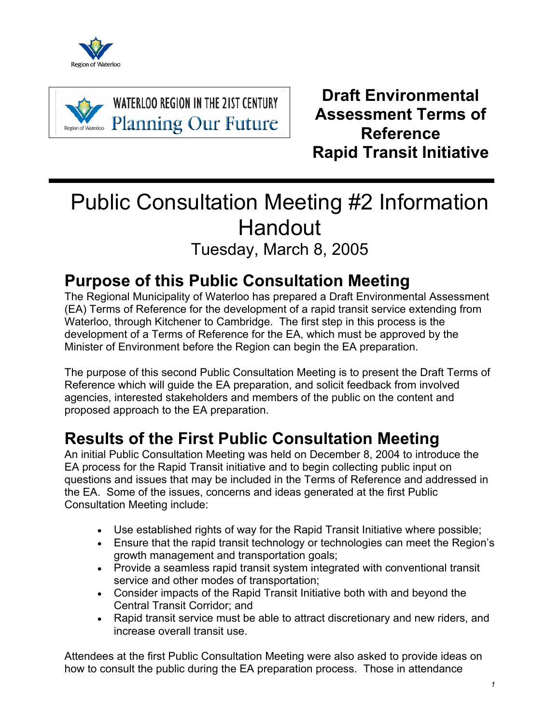



**Draft Environmental Assessment Terms of Reference Rapid Transit Initiative** 

# Public Consultation Meeting #2 Information Handout Tuesday, March 8, 2005

### **Purpose of this Public Consultation Meeting**

The Regional Municipality of Waterloo has prepared a Draft Environmental Assessment (EA) Terms of Reference for the development of a rapid transit service extending from Waterloo, through Kitchener to Cambridge. The first step in this process is the development of a Terms of Reference for the EA, which must be approved by the Minister of Environment before the Region can begin the EA preparation.

The purpose of this second Public Consultation Meeting is to present the Draft Terms of Reference which will guide the EA preparation, and solicit feedback from involved agencies, interested stakeholders and members of the public on the content and proposed approach to the EA preparation.

## **Results of the First Public Consultation Meeting**

An initial Public Consultation Meeting was held on December 8, 2004 to introduce the EA process for the Rapid Transit initiative and to begin collecting public input on questions and issues that may be included in the Terms of Reference and addressed in the EA. Some of the issues, concerns and ideas generated at the first Public Consultation Meeting include:

- Use established rights of way for the Rapid Transit Initiative where possible;
- Ensure that the rapid transit technology or technologies can meet the Region's growth management and transportation goals;
- Provide a seamless rapid transit system integrated with conventional transit service and other modes of transportation;
- Consider impacts of the Rapid Transit Initiative both with and beyond the Central Transit Corridor; and
- Rapid transit service must be able to attract discretionary and new riders, and increase overall transit use.

Attendees at the first Public Consultation Meeting were also asked to provide ideas on how to consult the public during the EA preparation process. Those in attendance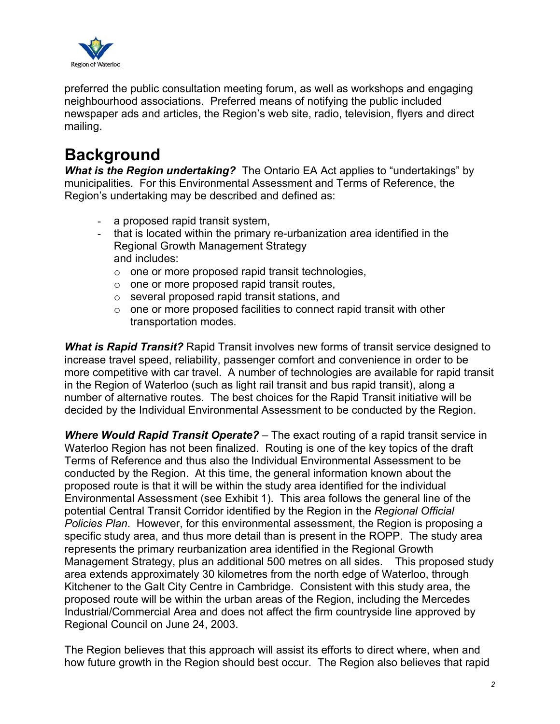

preferred the public consultation meeting forum, as well as workshops and engaging neighbourhood associations. Preferred means of notifying the public included newspaper ads and articles, the Region's web site, radio, television, flyers and direct mailing.

### **Background**

*What is the Region undertaking?* The Ontario EA Act applies to "undertakings" by municipalities. For this Environmental Assessment and Terms of Reference, the Region's undertaking may be described and defined as:

- a proposed rapid transit system,
- that is located within the primary re-urbanization area identified in the Regional Growth Management Strategy and includes:
	- o one or more proposed rapid transit technologies,
	- o one or more proposed rapid transit routes,
	- o several proposed rapid transit stations, and
	- $\circ$  one or more proposed facilities to connect rapid transit with other transportation modes.

*What is Rapid Transit?* Rapid Transit involves new forms of transit service designed to increase travel speed, reliability, passenger comfort and convenience in order to be more competitive with car travel. A number of technologies are available for rapid transit in the Region of Waterloo (such as light rail transit and bus rapid transit), along a number of alternative routes. The best choices for the Rapid Transit initiative will be decided by the Individual Environmental Assessment to be conducted by the Region.

*Where Would Rapid Transit Operate?* – The exact routing of a rapid transit service in Waterloo Region has not been finalized. Routing is one of the key topics of the draft Terms of Reference and thus also the Individual Environmental Assessment to be conducted by the Region. At this time, the general information known about the proposed route is that it will be within the study area identified for the individual Environmental Assessment (see Exhibit 1). This area follows the general line of the potential Central Transit Corridor identified by the Region in the *Regional Official Policies Plan*. However, for this environmental assessment, the Region is proposing a specific study area, and thus more detail than is present in the ROPP. The study area represents the primary reurbanization area identified in the Regional Growth Management Strategy, plus an additional 500 metres on all sides. This proposed study area extends approximately 30 kilometres from the north edge of Waterloo, through Kitchener to the Galt City Centre in Cambridge. Consistent with this study area, the proposed route will be within the urban areas of the Region, including the Mercedes Industrial/Commercial Area and does not affect the firm countryside line approved by Regional Council on June 24, 2003.

The Region believes that this approach will assist its efforts to direct where, when and how future growth in the Region should best occur. The Region also believes that rapid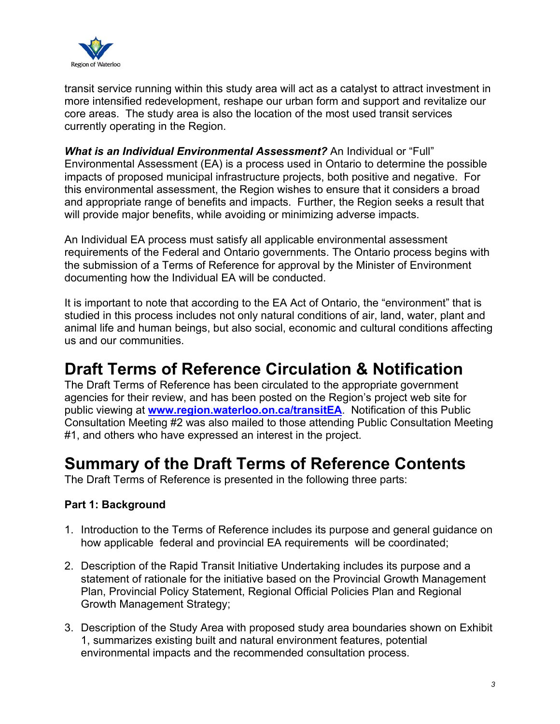

transit service running within this study area will act as a catalyst to attract investment in more intensified redevelopment, reshape our urban form and support and revitalize our core areas. The study area is also the location of the most used transit services currently operating in the Region.

*What is an Individual Environmental Assessment?* An Individual or "Full" Environmental Assessment (EA) is a process used in Ontario to determine the possible impacts of proposed municipal infrastructure projects, both positive and negative. For this environmental assessment, the Region wishes to ensure that it considers a broad and appropriate range of benefits and impacts. Further, the Region seeks a result that will provide major benefits, while avoiding or minimizing adverse impacts.

An Individual EA process must satisfy all applicable environmental assessment requirements of the Federal and Ontario governments. The Ontario process begins with the submission of a Terms of Reference for approval by the Minister of Environment documenting how the Individual EA will be conducted.

It is important to note that according to the EA Act of Ontario, the "environment" that is studied in this process includes not only natural conditions of air, land, water, plant and animal life and human beings, but also social, economic and cultural conditions affecting us and our communities.

### **Draft Terms of Reference Circulation & Notification**

The Draft Terms of Reference has been circulated to the appropriate government agencies for their review, and has been posted on the Region's project web site for public viewing at **www.region.waterloo.on.ca/transitEA**. Notification of this Public Consultation Meeting #2 was also mailed to those attending Public Consultation Meeting #1, and others who have expressed an interest in the project.

### **Summary of the Draft Terms of Reference Contents**

The Draft Terms of Reference is presented in the following three parts:

#### **Part 1: Background**

- 1. Introduction to the Terms of Reference includes its purpose and general guidance on how applicable federal and provincial EA requirements will be coordinated;
- 2. Description of the Rapid Transit Initiative Undertaking includes its purpose and a statement of rationale for the initiative based on the Provincial Growth Management Plan, Provincial Policy Statement, Regional Official Policies Plan and Regional Growth Management Strategy;
- 3. Description of the Study Area with proposed study area boundaries shown on Exhibit 1, summarizes existing built and natural environment features, potential environmental impacts and the recommended consultation process.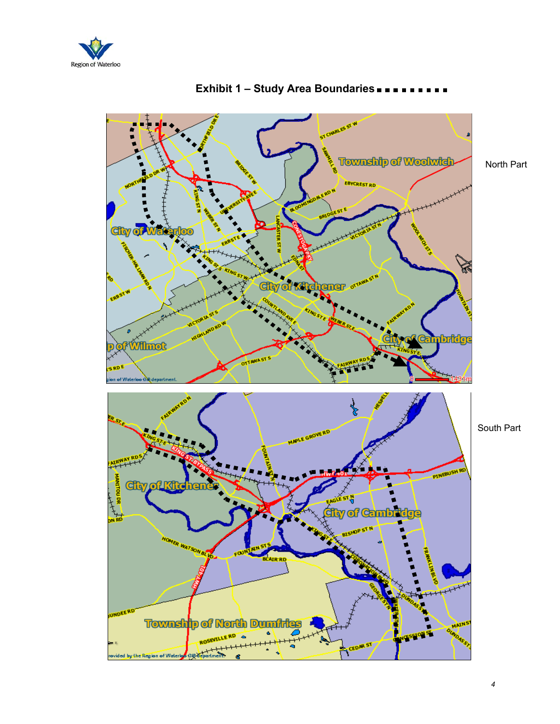



### **Exhibit 1 – Study Area Boundaries**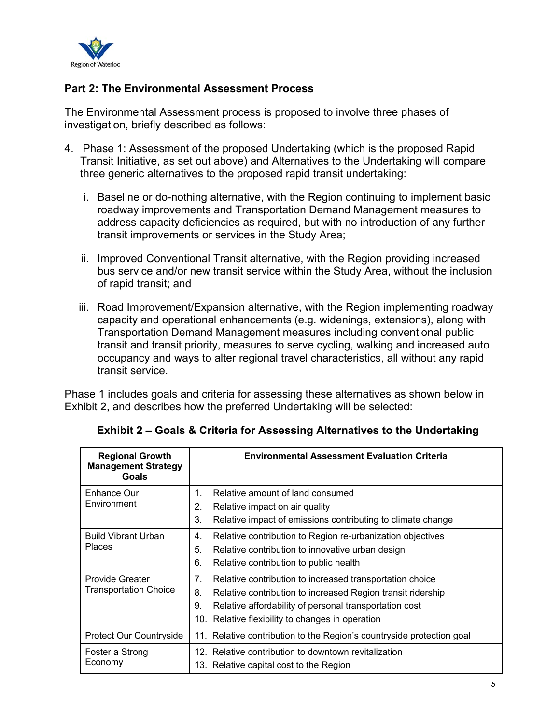

#### **Part 2: The Environmental Assessment Process**

The Environmental Assessment process is proposed to involve three phases of investigation, briefly described as follows:

- 4. Phase 1: Assessment of the proposed Undertaking (which is the proposed Rapid Transit Initiative, as set out above) and Alternatives to the Undertaking will compare three generic alternatives to the proposed rapid transit undertaking:
	- i. Baseline or do-nothing alternative, with the Region continuing to implement basic roadway improvements and Transportation Demand Management measures to address capacity deficiencies as required, but with no introduction of any further transit improvements or services in the Study Area;
	- ii. Improved Conventional Transit alternative, with the Region providing increased bus service and/or new transit service within the Study Area, without the inclusion of rapid transit; and
	- iii. Road Improvement/Expansion alternative, with the Region implementing roadway capacity and operational enhancements (e.g. widenings, extensions), along with Transportation Demand Management measures including conventional public transit and transit priority, measures to serve cycling, walking and increased auto occupancy and ways to alter regional travel characteristics, all without any rapid transit service.

Phase 1 includes goals and criteria for assessing these alternatives as shown below in Exhibit 2, and describes how the preferred Undertaking will be selected:

| <b>Regional Growth</b><br><b>Management Strategy</b><br><b>Goals</b> | <b>Environmental Assessment Evaluation Criteria</b>                   |
|----------------------------------------------------------------------|-----------------------------------------------------------------------|
| Enhance Our                                                          | Relative amount of land consumed<br>$\mathbf 1$ .                     |
| Environment                                                          | Relative impact on air quality<br>2.                                  |
|                                                                      | 3.<br>Relative impact of emissions contributing to climate change     |
| <b>Build Vibrant Urban</b>                                           | Relative contribution to Region re-urbanization objectives<br>4.      |
| <b>Places</b>                                                        | 5.<br>Relative contribution to innovative urban design                |
|                                                                      | 6.<br>Relative contribution to public health                          |
| <b>Provide Greater</b>                                               | 7.<br>Relative contribution to increased transportation choice        |
| <b>Transportation Choice</b>                                         | 8.<br>Relative contribution to increased Region transit ridership     |
|                                                                      | 9.<br>Relative affordability of personal transportation cost          |
|                                                                      | 10.<br>Relative flexibility to changes in operation                   |
| <b>Protect Our Countryside</b>                                       | 11. Relative contribution to the Region's countryside protection goal |
| Foster a Strong                                                      | 12. Relative contribution to downtown revitalization                  |
| Economy                                                              | 13. Relative capital cost to the Region                               |

**Exhibit 2 – Goals & Criteria for Assessing Alternatives to the Undertaking**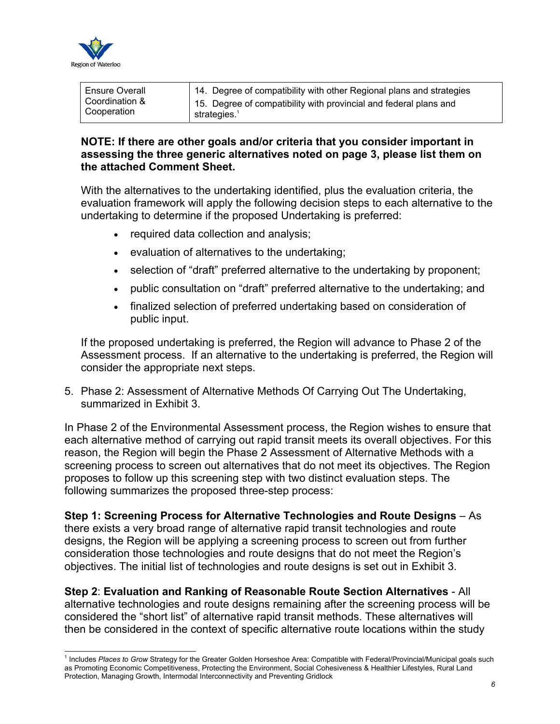

l

| <b>Ensure Overall</b> | 14. Degree of compatibility with other Regional plans and strategies |
|-----------------------|----------------------------------------------------------------------|
| Coordination &        | 15. Degree of compatibility with provincial and federal plans and    |
| Cooperation           | strategies.                                                          |

#### **NOTE: If there are other goals and/or criteria that you consider important in assessing the three generic alternatives noted on page 3, please list them on the attached Comment Sheet.**

With the alternatives to the undertaking identified, plus the evaluation criteria, the evaluation framework will apply the following decision steps to each alternative to the undertaking to determine if the proposed Undertaking is preferred:

- required data collection and analysis;
- evaluation of alternatives to the undertaking;
- selection of "draft" preferred alternative to the undertaking by proponent;
- public consultation on "draft" preferred alternative to the undertaking; and
- finalized selection of preferred undertaking based on consideration of public input.

If the proposed undertaking is preferred, the Region will advance to Phase 2 of the Assessment process. If an alternative to the undertaking is preferred, the Region will consider the appropriate next steps.

5. Phase 2: Assessment of Alternative Methods Of Carrying Out The Undertaking, summarized in Exhibit 3.

In Phase 2 of the Environmental Assessment process, the Region wishes to ensure that each alternative method of carrying out rapid transit meets its overall objectives. For this reason, the Region will begin the Phase 2 Assessment of Alternative Methods with a screening process to screen out alternatives that do not meet its objectives. The Region proposes to follow up this screening step with two distinct evaluation steps. The following summarizes the proposed three-step process:

**Step 1: Screening Process for Alternative Technologies and Route Designs** – As there exists a very broad range of alternative rapid transit technologies and route designs, the Region will be applying a screening process to screen out from further consideration those technologies and route designs that do not meet the Region's objectives. The initial list of technologies and route designs is set out in Exhibit 3.

**Step 2**: **Evaluation and Ranking of Reasonable Route Section Alternatives** - All alternative technologies and route designs remaining after the screening process will be considered the "short list" of alternative rapid transit methods. These alternatives will then be considered in the context of specific alternative route locations within the study

<sup>&</sup>lt;sup>1</sup> Includes Places to Grow Strategy for the Greater Golden Horseshoe Area: Compatible with Federal/Provincial/Municipal goals such as Promoting Economic Competitiveness, Protecting the Environment, Social Cohesiveness & Healthier Lifestyles, Rural Land Protection, Managing Growth, Intermodal Interconnectivity and Preventing Gridlock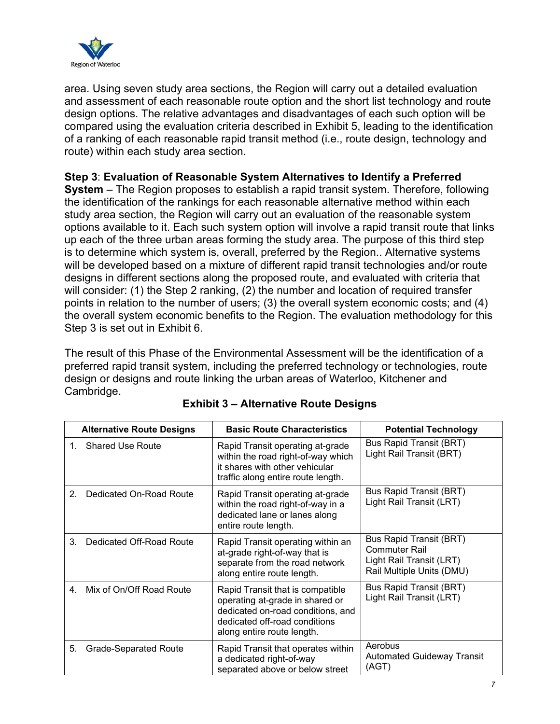

area. Using seven study area sections, the Region will carry out a detailed evaluation and assessment of each reasonable route option and the short list technology and route design options. The relative advantages and disadvantages of each such option will be compared using the evaluation criteria described in Exhibit 5, leading to the identification of a ranking of each reasonable rapid transit method (i.e., route design, technology and route) within each study area section.

#### **Step 3**: **Evaluation of Reasonable System Alternatives to Identify a Preferred**

**System** – The Region proposes to establish a rapid transit system. Therefore, following the identification of the rankings for each reasonable alternative method within each study area section, the Region will carry out an evaluation of the reasonable system options available to it. Each such system option will involve a rapid transit route that links up each of the three urban areas forming the study area. The purpose of this third step is to determine which system is, overall, preferred by the Region.. Alternative systems will be developed based on a mixture of different rapid transit technologies and/or route designs in different sections along the proposed route, and evaluated with criteria that will consider: (1) the Step 2 ranking, (2) the number and location of required transfer points in relation to the number of users; (3) the overall system economic costs; and (4) the overall system economic benefits to the Region. The evaluation methodology for this Step 3 is set out in Exhibit 6.

The result of this Phase of the Environmental Assessment will be the identification of a preferred rapid transit system, including the preferred technology or technologies, route design or designs and route linking the urban areas of Waterloo, Kitchener and Cambridge.

|                | <b>Alternative Route Designs</b> | <b>Basic Route Characteristics</b>                                                                                                                                      | <b>Potential Technology</b>                                                                              |
|----------------|----------------------------------|-------------------------------------------------------------------------------------------------------------------------------------------------------------------------|----------------------------------------------------------------------------------------------------------|
| 1.             | <b>Shared Use Route</b>          | Rapid Transit operating at-grade<br>within the road right-of-way which<br>it shares with other vehicular<br>traffic along entire route length.                          | <b>Bus Rapid Transit (BRT)</b><br>Light Rail Transit (BRT)                                               |
| 2 <sub>1</sub> | Dedicated On-Road Route          | Rapid Transit operating at-grade<br>within the road right-of-way in a<br>dedicated lane or lanes along<br>entire route length.                                          | Bus Rapid Transit (BRT)<br>Light Rail Transit (LRT)                                                      |
| 3 <sub>1</sub> | Dedicated Off-Road Route         | Rapid Transit operating within an<br>at-grade right-of-way that is<br>separate from the road network<br>along entire route length.                                      | Bus Rapid Transit (BRT)<br><b>Commuter Rail</b><br>Light Rail Transit (LRT)<br>Rail Multiple Units (DMU) |
|                | 4. Mix of On/Off Road Route      | Rapid Transit that is compatible<br>operating at-grade in shared or<br>dedicated on-road conditions, and<br>dedicated off-road conditions<br>along entire route length. | Bus Rapid Transit (BRT)<br>Light Rail Transit (LRT)                                                      |
| 5.             | <b>Grade-Separated Route</b>     | Rapid Transit that operates within<br>a dedicated right-of-way<br>separated above or below street                                                                       | Aerobus<br><b>Automated Guideway Transit</b><br>(AGT)                                                    |

#### **Exhibit 3 – Alternative Route Designs**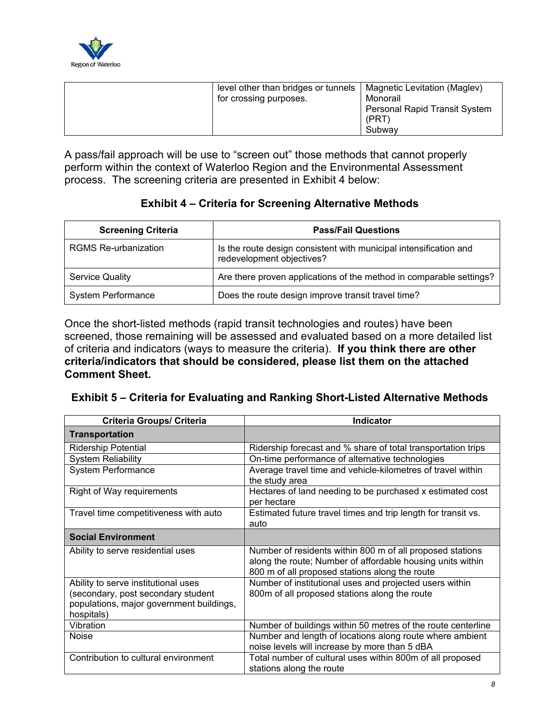

|  | level other than bridges or tunnels<br>for crossing purposes. | Magnetic Levitation (Maglev)<br>Monorail<br><b>Personal Rapid Transit System</b><br>(PRT)<br>Subway |
|--|---------------------------------------------------------------|-----------------------------------------------------------------------------------------------------|
|--|---------------------------------------------------------------|-----------------------------------------------------------------------------------------------------|

A pass/fail approach will be use to "screen out" those methods that cannot properly perform within the context of Waterloo Region and the Environmental Assessment process. The screening criteria are presented in Exhibit 4 below:

#### **Exhibit 4 – Criteria for Screening Alternative Methods**

| <b>Screening Criteria</b>   | <b>Pass/Fail Questions</b>                                                                     |
|-----------------------------|------------------------------------------------------------------------------------------------|
| <b>RGMS Re-urbanization</b> | Is the route design consistent with municipal intensification and<br>redevelopment objectives? |
| <b>Service Quality</b>      | Are there proven applications of the method in comparable settings?                            |
| <b>System Performance</b>   | Does the route design improve transit travel time?                                             |

Once the short-listed methods (rapid transit technologies and routes) have been screened, those remaining will be assessed and evaluated based on a more detailed list of criteria and indicators (ways to measure the criteria). **If you think there are other criteria/indicators that should be considered, please list them on the attached Comment Sheet.** 

#### **Exhibit 5 – Criteria for Evaluating and Ranking Short-Listed Alternative Methods**

| Criteria Groups/ Criteria                                                                                                           | <b>Indicator</b>                                                                                                                                                          |
|-------------------------------------------------------------------------------------------------------------------------------------|---------------------------------------------------------------------------------------------------------------------------------------------------------------------------|
| <b>Transportation</b>                                                                                                               |                                                                                                                                                                           |
| <b>Ridership Potential</b>                                                                                                          | Ridership forecast and % share of total transportation trips                                                                                                              |
| <b>System Reliability</b>                                                                                                           | On-time performance of alternative technologies                                                                                                                           |
| System Performance                                                                                                                  | Average travel time and vehicle-kilometres of travel within<br>the study area                                                                                             |
| Right of Way requirements                                                                                                           | Hectares of land needing to be purchased x estimated cost<br>per hectare                                                                                                  |
| Travel time competitiveness with auto                                                                                               | Estimated future travel times and trip length for transit vs.<br>auto                                                                                                     |
| <b>Social Environment</b>                                                                                                           |                                                                                                                                                                           |
| Ability to serve residential uses                                                                                                   | Number of residents within 800 m of all proposed stations<br>along the route; Number of affordable housing units within<br>800 m of all proposed stations along the route |
| Ability to serve institutional uses<br>(secondary, post secondary student<br>populations, major government buildings,<br>hospitals) | Number of institutional uses and projected users within<br>800m of all proposed stations along the route                                                                  |
| Vibration                                                                                                                           | Number of buildings within 50 metres of the route centerline                                                                                                              |
| <b>Noise</b>                                                                                                                        | Number and length of locations along route where ambient<br>noise levels will increase by more than 5 dBA                                                                 |
| Contribution to cultural environment                                                                                                | Total number of cultural uses within 800m of all proposed<br>stations along the route                                                                                     |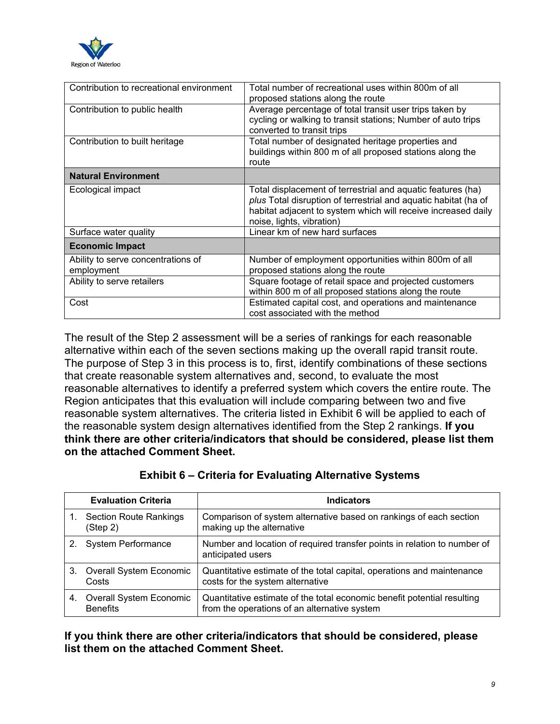

| Contribution to recreational environment         | Total number of recreational uses within 800m of all<br>proposed stations along the route                                                                                                                                    |
|--------------------------------------------------|------------------------------------------------------------------------------------------------------------------------------------------------------------------------------------------------------------------------------|
| Contribution to public health                    | Average percentage of total transit user trips taken by<br>cycling or walking to transit stations; Number of auto trips<br>converted to transit trips                                                                        |
| Contribution to built heritage                   | Total number of designated heritage properties and<br>buildings within 800 m of all proposed stations along the<br>route                                                                                                     |
| <b>Natural Environment</b>                       |                                                                                                                                                                                                                              |
| Ecological impact                                | Total displacement of terrestrial and aquatic features (ha)<br>plus Total disruption of terrestrial and aquatic habitat (ha of<br>habitat adjacent to system which will receive increased daily<br>noise, lights, vibration) |
| Surface water quality                            | Linear km of new hard surfaces                                                                                                                                                                                               |
| <b>Economic Impact</b>                           |                                                                                                                                                                                                                              |
| Ability to serve concentrations of<br>employment | Number of employment opportunities within 800m of all<br>proposed stations along the route                                                                                                                                   |
| Ability to serve retailers                       | Square footage of retail space and projected customers<br>within 800 m of all proposed stations along the route                                                                                                              |
| Cost                                             | Estimated capital cost, and operations and maintenance<br>cost associated with the method                                                                                                                                    |

The result of the Step 2 assessment will be a series of rankings for each reasonable alternative within each of the seven sections making up the overall rapid transit route. The purpose of Step 3 in this process is to, first, identify combinations of these sections that create reasonable system alternatives and, second, to evaluate the most reasonable alternatives to identify a preferred system which covers the entire route. The Region anticipates that this evaluation will include comparing between two and five reasonable system alternatives. The criteria listed in Exhibit 6 will be applied to each of the reasonable system design alternatives identified from the Step 2 rankings. **If you think there are other criteria/indicators that should be considered, please list them on the attached Comment Sheet.** 

|    | <b>Evaluation Criteria</b>                 | <b>Indicators</b>                                                                                                       |
|----|--------------------------------------------|-------------------------------------------------------------------------------------------------------------------------|
|    | <b>Section Route Rankings</b><br>(Step 2)  | Comparison of system alternative based on rankings of each section<br>making up the alternative                         |
| 2. | <b>System Performance</b>                  | Number and location of required transfer points in relation to number of<br>anticipated users                           |
| 3. | Overall System Economic<br>Costs           | Quantitative estimate of the total capital, operations and maintenance<br>costs for the system alternative              |
| 4. | Overall System Economic<br><b>Benefits</b> | Quantitative estimate of the total economic benefit potential resulting<br>from the operations of an alternative system |

#### **Exhibit 6 – Criteria for Evaluating Alternative Systems**

**If you think there are other criteria/indicators that should be considered, please list them on the attached Comment Sheet.**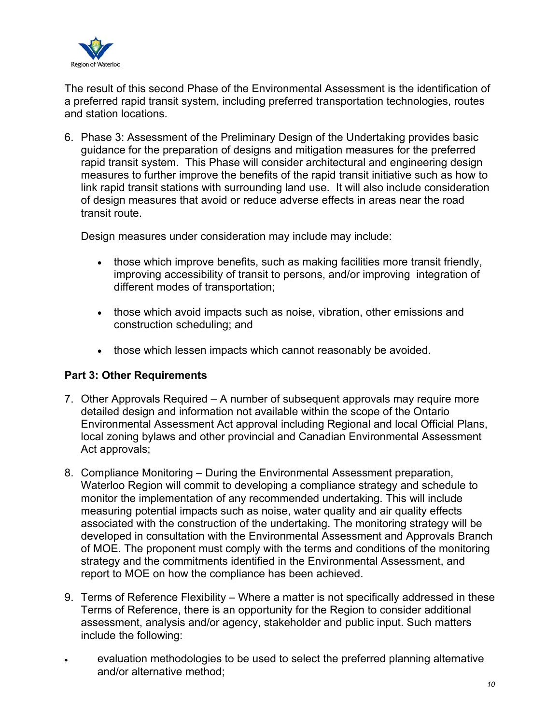

The result of this second Phase of the Environmental Assessment is the identification of a preferred rapid transit system, including preferred transportation technologies, routes and station locations.

6. Phase 3: Assessment of the Preliminary Design of the Undertaking provides basic guidance for the preparation of designs and mitigation measures for the preferred rapid transit system. This Phase will consider architectural and engineering design measures to further improve the benefits of the rapid transit initiative such as how to link rapid transit stations with surrounding land use. It will also include consideration of design measures that avoid or reduce adverse effects in areas near the road transit route.

Design measures under consideration may include may include:

- those which improve benefits, such as making facilities more transit friendly, improving accessibility of transit to persons, and/or improving integration of different modes of transportation;
- those which avoid impacts such as noise, vibration, other emissions and construction scheduling; and
- those which lessen impacts which cannot reasonably be avoided.

#### **Part 3: Other Requirements**

- 7. Other Approvals Required A number of subsequent approvals may require more detailed design and information not available within the scope of the Ontario Environmental Assessment Act approval including Regional and local Official Plans, local zoning bylaws and other provincial and Canadian Environmental Assessment Act approvals;
- 8. Compliance Monitoring During the Environmental Assessment preparation, Waterloo Region will commit to developing a compliance strategy and schedule to monitor the implementation of any recommended undertaking. This will include measuring potential impacts such as noise, water quality and air quality effects associated with the construction of the undertaking. The monitoring strategy will be developed in consultation with the Environmental Assessment and Approvals Branch of MOE. The proponent must comply with the terms and conditions of the monitoring strategy and the commitments identified in the Environmental Assessment, and report to MOE on how the compliance has been achieved.
- 9. Terms of Reference Flexibility Where a matter is not specifically addressed in these Terms of Reference, there is an opportunity for the Region to consider additional assessment, analysis and/or agency, stakeholder and public input. Such matters include the following:
- evaluation methodologies to be used to select the preferred planning alternative and/or alternative method;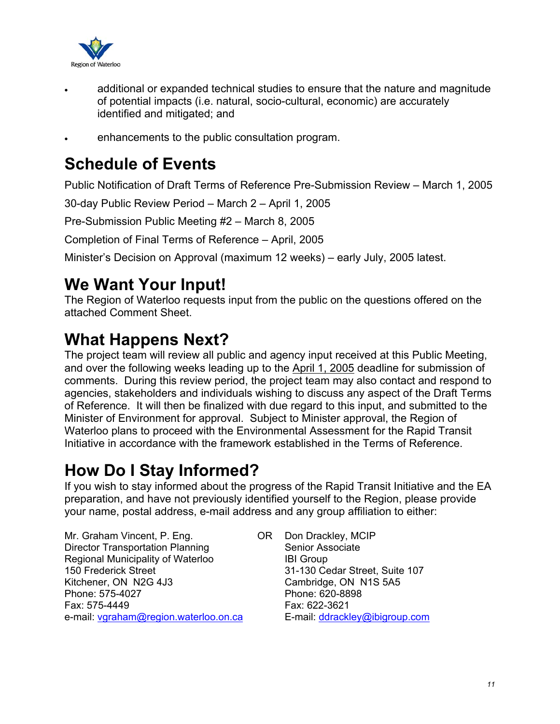

- additional or expanded technical studies to ensure that the nature and magnitude of potential impacts (i.e. natural, socio-cultural, economic) are accurately identified and mitigated; and
- enhancements to the public consultation program.

### **Schedule of Events**

Public Notification of Draft Terms of Reference Pre-Submission Review – March 1, 2005

30-day Public Review Period – March 2 – April 1, 2005

Pre-Submission Public Meeting #2 – March 8, 2005

Completion of Final Terms of Reference – April, 2005

Minister's Decision on Approval (maximum 12 weeks) – early July, 2005 latest.

### **We Want Your Input!**

The Region of Waterloo requests input from the public on the questions offered on the attached Comment Sheet.

### **What Happens Next?**

The project team will review all public and agency input received at this Public Meeting, and over the following weeks leading up to the April 1, 2005 deadline for submission of comments. During this review period, the project team may also contact and respond to agencies, stakeholders and individuals wishing to discuss any aspect of the Draft Terms of Reference. It will then be finalized with due regard to this input, and submitted to the Minister of Environment for approval. Subject to Minister approval, the Region of Waterloo plans to proceed with the Environmental Assessment for the Rapid Transit Initiative in accordance with the framework established in the Terms of Reference.

### **How Do I Stay Informed?**

If you wish to stay informed about the progress of the Rapid Transit Initiative and the EA preparation, and have not previously identified yourself to the Region, please provide your name, postal address, e-mail address and any group affiliation to either:

Mr. Graham Vincent, P. Eng. OR Director Transportation Planning Regional Municipality of Waterloo 150 Frederick Street Kitchener, ON N2G 4J3 Phone: 575-4027 Fax: 575-4449 e-mail: vgraham@region.waterloo.on.ca

Don Drackley, MCIP Senior Associate IBI Group 31-130 Cedar Street, Suite 107 Cambridge, ON N1S 5A5 Phone: 620-8898 Fax: 622-3621 E-mail: ddrackley@ibigroup.com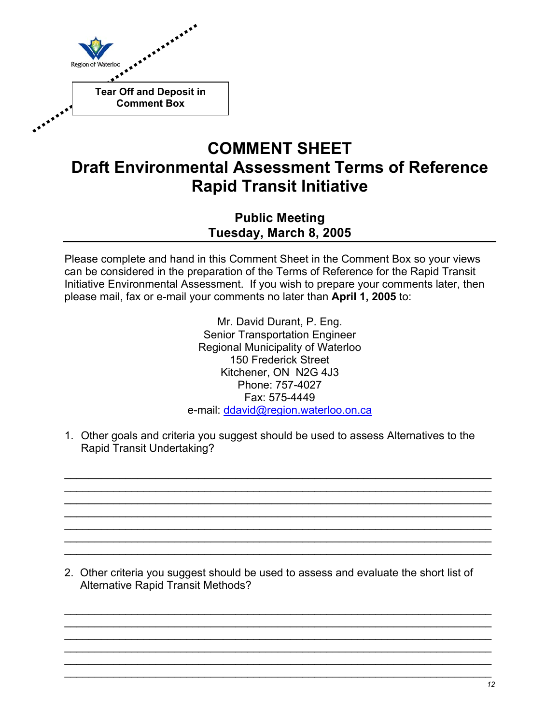

### **COMMENT SHEET Draft Environmental Assessment Terms of Reference Rapid Transit Initiative**

**Public Meeting Tuesday, March 8, 2005**

Please complete and hand in this Comment Sheet in the Comment Box so your views can be considered in the preparation of the Terms of Reference for the Rapid Transit Initiative Environmental Assessment. If you wish to prepare your comments later, then please mail, fax or e-mail your comments no later than **April 1, 2005** to:

> Mr. David Durant, P. Eng. Senior Transportation Engineer Regional Municipality of Waterloo 150 Frederick Street Kitchener, ON N2G 4J3 Phone: 757-4027 Fax: 575-4449 e-mail: ddavid@region.waterloo.on.ca

1. Other goals and criteria you suggest should be used to assess Alternatives to the Rapid Transit Undertaking?

 $\mathcal{L}_\text{max}$  and  $\mathcal{L}_\text{max}$  and  $\mathcal{L}_\text{max}$  and  $\mathcal{L}_\text{max}$  and  $\mathcal{L}_\text{max}$  and  $\mathcal{L}_\text{max}$  $\mathcal{L}_\text{max} = \mathcal{L}_\text{max} = \mathcal{L}_\text{max} = \mathcal{L}_\text{max} = \mathcal{L}_\text{max} = \mathcal{L}_\text{max} = \mathcal{L}_\text{max} = \mathcal{L}_\text{max} = \mathcal{L}_\text{max} = \mathcal{L}_\text{max} = \mathcal{L}_\text{max} = \mathcal{L}_\text{max} = \mathcal{L}_\text{max} = \mathcal{L}_\text{max} = \mathcal{L}_\text{max} = \mathcal{L}_\text{max} = \mathcal{L}_\text{max} = \mathcal{L}_\text{max} = \mathcal{$  $\mathcal{L}_\text{max} = \mathcal{L}_\text{max} = \mathcal{L}_\text{max} = \mathcal{L}_\text{max} = \mathcal{L}_\text{max} = \mathcal{L}_\text{max} = \mathcal{L}_\text{max} = \mathcal{L}_\text{max} = \mathcal{L}_\text{max} = \mathcal{L}_\text{max} = \mathcal{L}_\text{max} = \mathcal{L}_\text{max} = \mathcal{L}_\text{max} = \mathcal{L}_\text{max} = \mathcal{L}_\text{max} = \mathcal{L}_\text{max} = \mathcal{L}_\text{max} = \mathcal{L}_\text{max} = \mathcal{$  $\mathcal{L}_\text{max}$  and  $\mathcal{L}_\text{max}$  and  $\mathcal{L}_\text{max}$  and  $\mathcal{L}_\text{max}$  and  $\mathcal{L}_\text{max}$  and  $\mathcal{L}_\text{max}$  $\mathcal{L}_\text{max}$  and  $\mathcal{L}_\text{max}$  and  $\mathcal{L}_\text{max}$  and  $\mathcal{L}_\text{max}$  and  $\mathcal{L}_\text{max}$  and  $\mathcal{L}_\text{max}$  $\mathcal{L}_\text{max}$  and  $\mathcal{L}_\text{max}$  and  $\mathcal{L}_\text{max}$  and  $\mathcal{L}_\text{max}$  and  $\mathcal{L}_\text{max}$  and  $\mathcal{L}_\text{max}$  $\mathcal{L}_\text{max} = \mathcal{L}_\text{max} = \mathcal{L}_\text{max} = \mathcal{L}_\text{max} = \mathcal{L}_\text{max} = \mathcal{L}_\text{max} = \mathcal{L}_\text{max} = \mathcal{L}_\text{max} = \mathcal{L}_\text{max} = \mathcal{L}_\text{max} = \mathcal{L}_\text{max} = \mathcal{L}_\text{max} = \mathcal{L}_\text{max} = \mathcal{L}_\text{max} = \mathcal{L}_\text{max} = \mathcal{L}_\text{max} = \mathcal{L}_\text{max} = \mathcal{L}_\text{max} = \mathcal{$ 

2. Other criteria you suggest should be used to assess and evaluate the short list of Alternative Rapid Transit Methods?

 $\mathcal{L}_\text{max}$  and  $\mathcal{L}_\text{max}$  and  $\mathcal{L}_\text{max}$  and  $\mathcal{L}_\text{max}$  and  $\mathcal{L}_\text{max}$  and  $\mathcal{L}_\text{max}$  $\mathcal{L}_\text{max}$  and  $\mathcal{L}_\text{max}$  and  $\mathcal{L}_\text{max}$  and  $\mathcal{L}_\text{max}$  and  $\mathcal{L}_\text{max}$  and  $\mathcal{L}_\text{max}$  $\mathcal{L}_\text{max} = \mathcal{L}_\text{max} = \mathcal{L}_\text{max} = \mathcal{L}_\text{max} = \mathcal{L}_\text{max} = \mathcal{L}_\text{max} = \mathcal{L}_\text{max} = \mathcal{L}_\text{max} = \mathcal{L}_\text{max} = \mathcal{L}_\text{max} = \mathcal{L}_\text{max} = \mathcal{L}_\text{max} = \mathcal{L}_\text{max} = \mathcal{L}_\text{max} = \mathcal{L}_\text{max} = \mathcal{L}_\text{max} = \mathcal{L}_\text{max} = \mathcal{L}_\text{max} = \mathcal{$  $\mathcal{L}_\text{max} = \mathcal{L}_\text{max} = \mathcal{L}_\text{max} = \mathcal{L}_\text{max} = \mathcal{L}_\text{max} = \mathcal{L}_\text{max} = \mathcal{L}_\text{max} = \mathcal{L}_\text{max} = \mathcal{L}_\text{max} = \mathcal{L}_\text{max} = \mathcal{L}_\text{max} = \mathcal{L}_\text{max} = \mathcal{L}_\text{max} = \mathcal{L}_\text{max} = \mathcal{L}_\text{max} = \mathcal{L}_\text{max} = \mathcal{L}_\text{max} = \mathcal{L}_\text{max} = \mathcal{$  $\mathcal{L}_\text{max}$  and  $\mathcal{L}_\text{max}$  and  $\mathcal{L}_\text{max}$  and  $\mathcal{L}_\text{max}$  and  $\mathcal{L}_\text{max}$  and  $\mathcal{L}_\text{max}$ \_\_\_\_\_\_\_\_\_\_\_\_\_\_\_\_\_\_\_\_\_\_\_\_\_\_\_\_\_\_\_\_\_\_\_\_\_\_\_\_\_\_\_\_\_\_\_\_\_\_\_\_\_\_\_\_\_\_\_\_\_\_\_\_\_\_\_\_\_\_